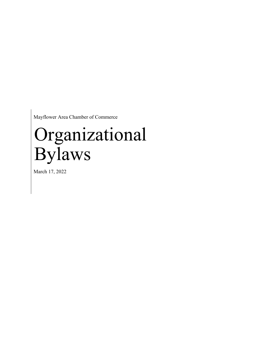Mayflower Area Chamber of Commerce

# Organizational Bylaws

March 17, 2022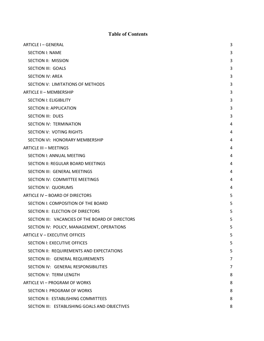## Table of Contents

| <b>ARTICLE I - GENERAL</b>                       | 3              |
|--------------------------------------------------|----------------|
| <b>SECTION I: NAME</b>                           | 3              |
| SECTION II: MISSION                              | 3              |
| <b>SECTION III: GOALS</b>                        | 3              |
| <b>SECTION IV: AREA</b>                          | 3              |
| SECTION V: LIMITATIONS OF METHODS                | 3              |
| ARTICLE II - MEMBERSHIP                          | 3              |
| <b>SECTION I: ELIGIBILITY</b>                    | 3              |
| SECTION II: APPLICATION                          | 3              |
| <b>SECTION III: DUES</b>                         | 3              |
| SECTION IV: TERMINATION                          | 4              |
| <b>SECTION V: VOTING RIGHTS</b>                  | 4              |
| SECTION VI: HONORARY MEMBERSHIP                  | 4              |
| <b>ARTICLE III - MEETINGS</b>                    | 4              |
| SECTION I: ANNUAL MEETING                        | 4              |
| SECTION II: REGULAR BOARD MEETINGS               | 4              |
| SECTION III: GENERAL MEETINGS                    | 4              |
| SECTION IV: COMMITTEE MEETINGS                   | 4              |
| SECTION V: QUORUMS                               | 4              |
| ARTICLE IV - BOARD OF DIRECTORS                  | 5              |
| SECTION I: COMPOSITION OF THE BOARD              | 5              |
| SECTION II: ELECTION OF DIRECTORS                | 5              |
| SECTION III: VACANCIES OF THE BOARD OF DIRECTORS | 5              |
| SECTION IV: POLICY, MANAGEMENT, OPERATIONS       | 5              |
| <b>ARTICLE V - EXECUTIVE OFFICES</b>             | 5              |
| <b>SECTION I: EXECUTIVE OFFICES</b>              | 5              |
| SECTION II: REQUIREMENTS AND EXPECTATIONS        | 5              |
| SECTION III: GENERAL REQUIREMENTS                | 7              |
| SECTION IV: GENERAL RESPONSIBILITIES             | $\overline{7}$ |
| SECTION V: TERM LENGTH                           | 8              |
| ARTICLE VI - PROGRAM OF WORKS                    | 8              |
| <b>SECTION I: PROGRAM OF WORKS</b>               | 8              |
| SECTION II: ESTABLISHING COMMITTEES              | 8              |
| SECTION III: ESTABLISHING GOALS AND OBJECTIVES   | 8              |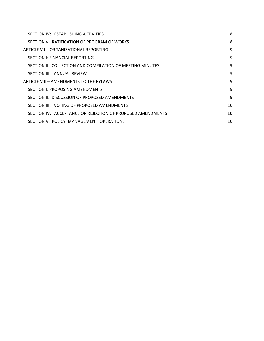| SECTION IV: ESTABLISHING ACTIVITIES                        | 8  |
|------------------------------------------------------------|----|
| SECTION V: RATIFICATION OF PROGRAM OF WORKS                | 8  |
| ARTICLE VII – ORGANIZATIONAL REPORTING                     | 9  |
| SECTION I: FINANCIAL REPORTING                             | 9  |
| SECTION II: COLLECTION AND COMPILATION OF MEETING MINUTES  | 9  |
| SECTION III: ANNUAL REVIEW                                 | 9  |
| ARTICLE VIII - AMENDMENTS TO THE BYLAWS                    | 9  |
| SECTION I: PROPOSING AMENDMENTS                            | 9  |
| SECTION II: DISCUSSION OF PROPOSED AMENDMENTS              | 9  |
| SECTION III: VOTING OF PROPOSED AMENDMENTS                 | 10 |
| SECTION IV: ACCEPTANCE OR REJECTION OF PROPOSED AMENDMENTS | 10 |
| SECTION V: POLICY, MANAGEMENT, OPERATIONS                  | 10 |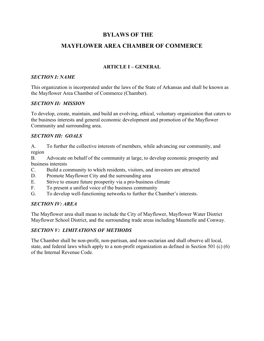## BYLAWS OF THE

# MAYFLOWER AREA CHAMBER OF COMMERCE

## ARTICLE I – GENERAL

#### SECTION I: NAME

This organization is incorporated under the laws of the State of Arkansas and shall be known as the Mayflower Area Chamber of Commerce (Chamber).

#### SECTION II: MISSION

To develop, create, maintain, and build an evolving, ethical, voluntary organization that caters to the business interests and general economic development and promotion of the Mayflower Community and surrounding area.

#### SECTION III: GOALS

A. To further the collective interests of members, while advancing our community, and region

B. Advocate on behalf of the community at large, to develop economic prosperity and business interests

- C. Build a community to which residents, visitors, and investors are attracted
- D. Promote Mayflower City and the surrounding area
- E. Strive to ensure future prosperity via a pro-business climate
- F. To present a unified voice of the business community
- G. To develop well-functioning networks to further the Chamber's interests.

#### SECTION IV: AREA

The Mayflower area shall mean to include the City of Mayflower, Mayflower Water District Mayflower School District, and the surrounding trade areas including Maumelle and Conway.

#### SECTION V: LIMITATIONS OF METHODS

The Chamber shall be non-profit, non-partisan, and non-sectarian and shall observe all local, state, and federal laws which apply to a non-profit organization as defined in Section 501 (c) (6) of the Internal Revenue Code.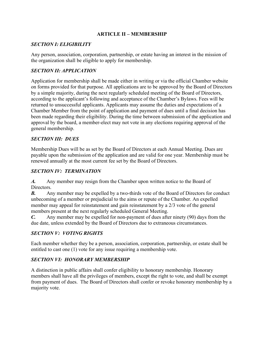#### ARTICLE II – MEMBERSHIP

#### SECTION I: ELIGIBILITY

Any person, association, corporation, partnership, or estate having an interest in the mission of the organization shall be eligible to apply for membership.

#### SECTION II: APPLICATION

Application for membership shall be made either in writing or via the official Chamber website on forms provided for that purpose. All applications are to be approved by the Board of Directors by a simple majority, during the next regularly scheduled meeting of the Board of Directors, according to the applicant's following and acceptance of the Chamber's Bylaws. Fees will be returned to unsuccessful applicants. Applicants may assume the duties and expectations of a Chamber Member from the point of application and payment of dues until a final decision has been made regarding their eligibility. During the time between submission of the application and approval by the board, a member-elect may not vote in any elections requiring approval of the general membership.

#### SECTION III: DUES

Membership Dues will be as set by the Board of Directors at each Annual Meeting. Dues are payable upon the submission of the application and are valid for one year. Membership must be renewed annually at the most current fee set by the Board of Directors.

#### SECTION IV: TERMINATION

A. Any member may resign from the Chamber upon written notice to the Board of Directors.

**B.** Any member may be expelled by a two-thirds vote of the Board of Directors for conduct unbecoming of a member or prejudicial to the aims or repute of the Chamber. An expelled member may appeal for reinstatement and gain reinstatement by a 2/3 vote of the general members present at the next regularly scheduled General Meeting.

C. Any member may be expelled for non-payment of dues after ninety (90) days from the due date, unless extended by the Board of Directors due to extraneous circumstances.

#### SECTION V: VOTING RIGHTS

Each member whether they be a person, association, corporation, partnership, or estate shall be entitled to cast one (1) vote for any issue requiring a membership vote.

#### SECTION VI: HONORARY MEMBERSHIP

A distinction in public affairs shall confer eligibility to honorary membership. Honorary members shall have all the privileges of members, except the right to vote, and shall be exempt from payment of dues. The Board of Directors shall confer or revoke honorary membership by a majority vote.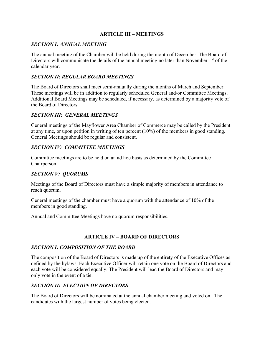### ARTICLE III – MEETINGS

## SECTION I: ANNUAL MEETING

The annual meeting of the Chamber will be held during the month of December. The Board of Directors will communicate the details of the annual meeting no later than November  $1<sup>st</sup>$  of the calendar year.

## SECTION II: REGULAR BOARD MEETINGS

The Board of Directors shall meet semi-annually during the months of March and September. These meetings will be in addition to regularly scheduled General and/or Committee Meetings. Additional Board Meetings may be scheduled, if necessary, as determined by a majority vote of the Board of Directors.

#### SECTION III: GENERAL MEETINGS

General meetings of the Mayflower Area Chamber of Commerce may be called by the President at any time, or upon petition in writing of ten percent (10%) of the members in good standing. General Meetings should be regular and consistent.

## SECTION IV: COMMITTEE MEETINGS

Committee meetings are to be held on an ad hoc basis as determined by the Committee Chairperson.

## SECTION V: QUORUMS

Meetings of the Board of Directors must have a simple majority of members in attendance to reach quorum.

General meetings of the chamber must have a quorum with the attendance of 10% of the members in good standing.

Annual and Committee Meetings have no quorum responsibilities.

## ARTICLE IV – BOARD OF DIRECTORS

#### SECTION I: COMPOSITION OF THE BOARD

The composition of the Board of Directors is made up of the entirety of the Executive Offices as defined by the bylaws. Each Executive Officer will retain one vote on the Board of Directors and each vote will be considered equally. The President will lead the Board of Directors and may only vote in the event of a tie.

#### SECTION II: ELECTION OF DIRECTORS

The Board of Directors will be nominated at the annual chamber meeting and voted on. The candidates with the largest number of votes being elected.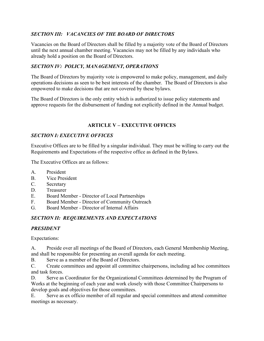## SECTION III: VACANCIES OF THE BOARD OF DIRECTORS

Vacancies on the Board of Directors shall be filled by a majority vote of the Board of Directors until the next annual chamber meeting. Vacancies may not be filled by any individuals who already hold a position on the Board of Directors.

## SECTION IV: POLICY, MANAGEMENT, OPERATIONS

The Board of Directors by majority vote is empowered to make policy, management, and daily operations decisions as seen to be best interests of the chamber. The Board of Directors is also empowered to make decisions that are not covered by these bylaws.

The Board of Directors is the only entity which is authorized to issue policy statements and approve requests for the disbursement of funding not explicitly defined in the Annual budget.

## ARTICLE V – EXECUTIVE OFFICES

## SECTION I: EXECUTIVE OFFICES

Executive Offices are to be filled by a singular individual. They must be willing to carry out the Requirements and Expectations of the respective office as defined in the Bylaws.

The Executive Offices are as follows:

- A. President
- B. Vice President
- C. Secretary
- D. Treasurer
- E. Board Member Director of Local Partnerships
- F. Board Member Director of Community Outreach
- G. Board Member Director of Internal Affairs

## SECTION II: REQUIREMENTS AND EXPECTATIONS

## PRESIDENT

Expectations:

A. Preside over all meetings of the Board of Directors, each General Membership Meeting, and shall be responsible for presenting an overall agenda for each meeting.

B. Serve as a member of the Board of Directors.

C. Create committees and appoint all committee chairpersons, including ad hoc committees and task forces.

D. Serve as Coordinator for the Organizational Committees determined by the Program of Works at the beginning of each year and work closely with those Committee Chairpersons to develop goals and objectives for those committees.

E. Serve as ex officio member of all regular and special committees and attend committee meetings as necessary.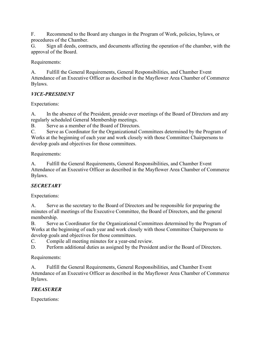F. Recommend to the Board any changes in the Program of Work, policies, bylaws, or procedures of the Chamber.

G. Sign all deeds, contracts, and documents affecting the operation of the chamber, with the approval of the Board.

Requirements:

A. Fulfill the General Requirements, General Responsibilities, and Chamber Event Attendance of an Executive Officer as described in the Mayflower Area Chamber of Commerce Bylaws.

## VICE-PRESIDENT

Expectations:

A. In the absence of the President, preside over meetings of the Board of Directors and any regularly scheduled General Membership meetings.

B. Serve as a member of the Board of Directors.

C. Serve as Coordinator for the Organizational Committees determined by the Program of Works at the beginning of each year and work closely with those Committee Chairpersons to develop goals and objectives for those committees.

Requirements:

A. Fulfill the General Requirements, General Responsibilities, and Chamber Event Attendance of an Executive Officer as described in the Mayflower Area Chamber of Commerce Bylaws.

# **SECRETARY**

Expectations:

A. Serve as the secretary to the Board of Directors and be responsible for preparing the minutes of all meetings of the Executive Committee, the Board of Directors, and the general membership.

B. Serve as Coordinator for the Organizational Committees determined by the Program of Works at the beginning of each year and work closely with those Committee Chairpersons to develop goals and objectives for those committees.

C. Compile all meeting minutes for a year-end review.

D. Perform additional duties as assigned by the President and/or the Board of Directors.

Requirements:

A. Fulfill the General Requirements, General Responsibilities, and Chamber Event Attendance of an Executive Officer as described in the Mayflower Area Chamber of Commerce Bylaws.

# TREASURER

Expectations: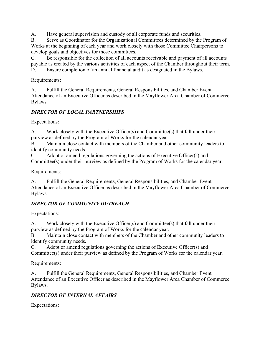A. Have general supervision and custody of all corporate funds and securities.

B. Serve as Coordinator for the Organizational Committees determined by the Program of Works at the beginning of each year and work closely with those Committee Chairpersons to develop goals and objectives for those committees.

C. Be responsible for the collection of all accounts receivable and payment of all accounts payable as created by the various activities of each aspect of the Chamber throughout their term. D. Ensure completion of an annual financial audit as designated in the Bylaws.

Requirements:

A. Fulfill the General Requirements, General Responsibilities, and Chamber Event Attendance of an Executive Officer as described in the Mayflower Area Chamber of Commerce Bylaws.

## DIRECTOR OF LOCAL PARTNERSHIPS

Expectations:

A. Work closely with the Executive Officer(s) and Committee(s) that fall under their purview as defined by the Program of Works for the calendar year.

B. Maintain close contact with members of the Chamber and other community leaders to identify community needs.

C. Adopt or amend regulations governing the actions of Executive Officer(s) and Committee(s) under their purview as defined by the Program of Works for the calendar year.

Requirements:

A. Fulfill the General Requirements, General Responsibilities, and Chamber Event Attendance of an Executive Officer as described in the Mayflower Area Chamber of Commerce Bylaws.

## DIRECTOR OF COMMUNITY OUTREACH

Expectations:

A. Work closely with the Executive Officer(s) and Committee(s) that fall under their purview as defined by the Program of Works for the calendar year.

B. Maintain close contact with members of the Chamber and other community leaders to identify community needs.

C. Adopt or amend regulations governing the actions of Executive Officer(s) and Committee(s) under their purview as defined by the Program of Works for the calendar year.

Requirements:

A. Fulfill the General Requirements, General Responsibilities, and Chamber Event Attendance of an Executive Officer as described in the Mayflower Area Chamber of Commerce Bylaws.

## DIRECTOR OF INTERNAL AFFAIRS

Expectations: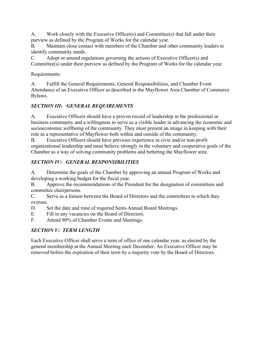A. Work closely with the Executive Officer(s) and Committee(s) that fall under their purview as defined by the Program of Works for the calendar year.

B. Maintain close contact with members of the Chamber and other community leaders to identify community needs.

C. Adopt or amend regulations governing the actions of Executive Officer(s) and Committee(s) under their purview as defined by the Program of Works for the calendar year.

## Requirements:

A. Fulfill the General Requirements, General Responsibilities, and Chamber Event Attendance of an Executive Officer as described in the Mayflower Area Chamber of Commerce Bylaws.

# SECTION III: GENERAL REQUIREMENTS

A. Executive Officers should have a proven record of leadership in the professional or business community and a willingness to serve as a visible leader in advancing the economic and socioeconomic wellbeing of the community. They must present an image in keeping with their role as a representative of Mayflower both within and outside of the community.

B. Executive Officers should have previous experience in civic and/or non-profit organizational leadership and must believe strongly in the voluntary and cooperative goals of the Chamber as a way of solving community problems and bettering the Mayflower area.

# SECTION IV: GENERAL RESPONSIBILITIES

A. Determine the goals of the Chamber by approving an annual Program of Works and developing a working budget for the fiscal year.

B. Approve the recommendations of the President for the designation of committees and committee chairpersons.

C. Serve as a liaison between the Board of Directors and the committees to which they oversee.

- D. Set the date and time of required Semi-Annual Board Meetings.
- E. Fill in any vacancies on the Board of Directors.
- F. Attend 90% of Chamber Events and Meetings.

# SECTION V: TERM LENGTH

Each Executive Officer shall serve a term of office of one calendar year, as elected by the general membership at the Annual Meeting each December. An Executive Officer may be removed before the expiration of their term by a majority vote by the Board of Directors.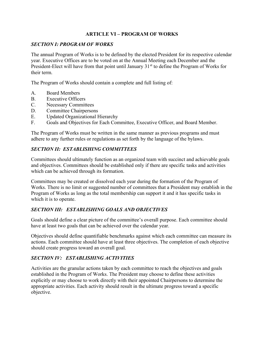## ARTICLE VI – PROGRAM OF WORKS

## SECTION I: PROGRAM OF WORKS

The annual Program of Works is to be defined by the elected President for its respective calendar year. Executive Offices are to be voted on at the Annual Meeting each December and the President-Elect will have from that point until January  $31<sup>st</sup>$  to define the Program of Works for their term.

The Program of Works should contain a complete and full listing of:

- A. Board Members
- B. Executive Officers
- C. Necessary Committees
- D. Committee Chairpersons
- E. Updated Organizational Hierarchy
- F. Goals and Objectives for Each Committee, Executive Officer, and Board Member.

The Program of Works must be written in the same manner as previous programs and must adhere to any further rules or regulations as set forth by the language of the bylaws.

## SECTION II: ESTABLISHING COMMITTEES

Committees should ultimately function as an organized team with succinct and achievable goals and objectives. Committees should be established only if there are specific tasks and activities which can be achieved through its formation.

Committees may be created or dissolved each year during the formation of the Program of Works. There is no limit or suggested number of committees that a President may establish in the Program of Works as long as the total membership can support it and it has specific tasks in which it is to operate.

## SECTION III: ESTABLISHING GOALS AND OBJECTIVES

Goals should define a clear picture of the committee's overall purpose. Each committee should have at least two goals that can be achieved over the calendar year.

Objectives should define quantifiable benchmarks against which each committee can measure its actions. Each committee should have at least three objectives. The completion of each objective should create progress toward an overall goal.

## SECTION IV: ESTABLISHING ACTIVITIES

Activities are the granular actions taken by each committee to reach the objectives and goals established in the Program of Works. The President may choose to define these activities explicitly or may choose to work directly with their appointed Chairpersons to determine the appropriate activities. Each activity should result in the ultimate progress toward a specific objective.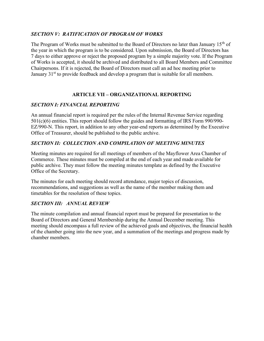## SECTION V: RATIFICATION OF PROGRAM OF WORKS

The Program of Works must be submitted to the Board of Directors no later than January 15<sup>th</sup> of the year in which the program is to be considered. Upon submission, the Board of Directors has 7 days to either approve or reject the proposed program by a simple majority vote. If the Program of Works is accepted, it should be archived and distributed to all Board Members and Committee Chairpersons. If it is rejected, the Board of Directors must call an ad hoc meeting prior to January 31<sup>st</sup> to provide feedback and develop a program that is suitable for all members.

## ARTICLE VII – ORGANIZATIONAL REPORTING

## SECTION I: FINANCIAL REPORTING

An annual financial report is required per the rules of the Internal Revenue Service regarding 501(c)(6) entities. This report should follow the guides and formatting of IRS Form 990/990- EZ/990-N. This report, in addition to any other year-end reports as determined by the Executive Office of Treasurer, should be published to the public archive.

## SECTION II: COLLECTION AND COMPILATION OF MEETING MINUTES

Meeting minutes are required for all meetings of members of the Mayflower Area Chamber of Commerce. These minutes must be compiled at the end of each year and made available for public archive. They must follow the meeting minutes template as defined by the Executive Office of the Secretary.

The minutes for each meeting should record attendance, major topics of discussion, recommendations, and suggestions as well as the name of the member making them and timetables for the resolution of these topics.

#### SECTION III: ANNUAL REVIEW

The minute compilation and annual financial report must be prepared for presentation to the Board of Directors and General Membership during the Annual December meeting. This meeting should encompass a full review of the achieved goals and objectives, the financial health of the chamber going into the new year, and a summation of the meetings and progress made by chamber members.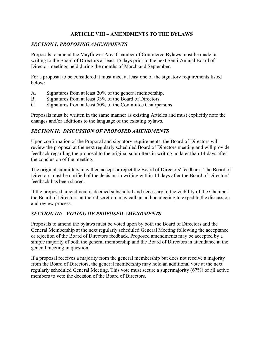### ARTICLE VIII – AMENDMENTS TO THE BYLAWS

#### SECTION I: PROPOSING AMENDMENTS

Proposals to amend the Mayflower Area Chamber of Commerce Bylaws must be made in writing to the Board of Directors at least 15 days prior to the next Semi-Annual Board of Director meetings held during the months of March and September.

For a proposal to be considered it must meet at least one of the signatory requirements listed below:

- A. Signatures from at least 20% of the general membership.
- B. Signatures from at least 33% of the Board of Directors.
- C. Signatures from at least 50% of the Committee Chairpersons.

Proposals must be written in the same manner as existing Articles and must explicitly note the changes and/or additions to the language of the existing bylaws.

## SECTION II: DISCUSSION OF PROPOSED AMENDMENTS

Upon confirmation of the Proposal and signatory requirements, the Board of Directors will review the proposal at the next regularly scheduled Board of Directors meeting and will provide feedback regarding the proposal to the original submitters in writing no later than 14 days after the conclusion of the meeting.

The original submitters may then accept or reject the Board of Directors' feedback. The Board of Directors must be notified of the decision in writing within 14 days after the Board of Directors' feedback has been shared.

If the proposed amendment is deemed substantial and necessary to the viability of the Chamber, the Board of Directors, at their discretion, may call an ad hoc meeting to expedite the discussion and review process.

## SECTION III: VOTING OF PROPOSED AMENDMENTS

Proposals to amend the bylaws must be voted upon by both the Board of Directors and the General Membership at the next regularly scheduled General Meeting following the acceptance or rejection of the Board of Directors feedback. Proposed amendments may be accepted by a simple majority of both the general membership and the Board of Directors in attendance at the general meeting in question.

If a proposal receives a majority from the general membership but does not receive a majority from the Board of Directors, the general membership may hold an additional vote at the next regularly scheduled General Meeting. This vote must secure a supermajority (67%) of all active members to veto the decision of the Board of Directors.